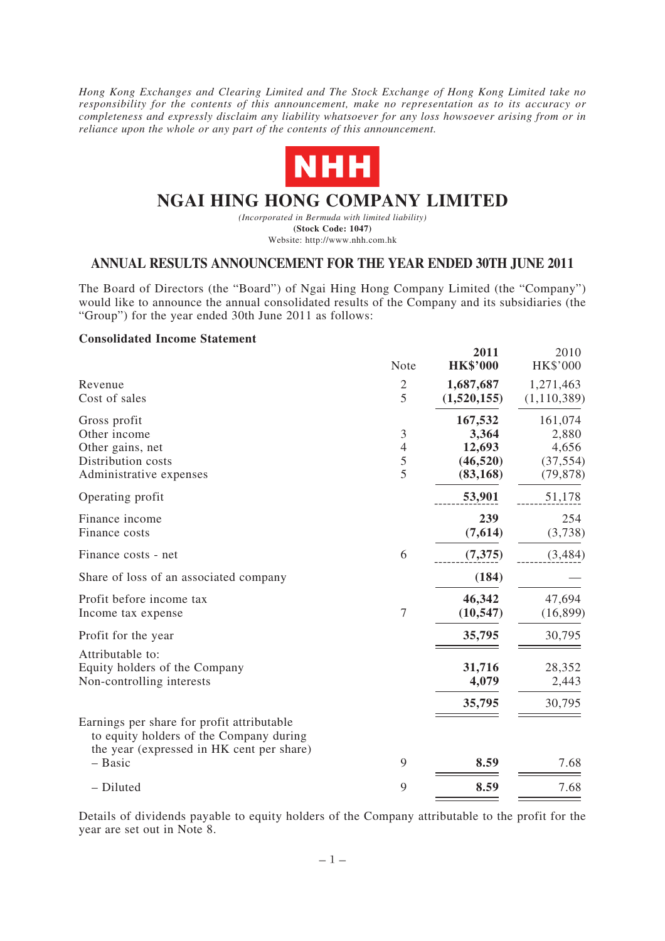*Hong Kong Exchanges and Clearing Limited and The Stock Exchange of Hong Kong Limited take no responsibility for the contents of this announcement, make no representation as to its accuracy or completeness and expressly disclaim any liability whatsoever for any loss howsoever arising from or in reliance upon the whole or any part of the contents of this announcement.*



# **NGAI HING HONG COMPANY LIMITED**

*(Incorporated in Bermuda with limited liability)* **(Stock Code: 1047)** Website: http://www.nhh.com.hk

# **ANNUAL RESULTS ANNOUNCEMENT FOR THE YEAR ENDED 30TH JUNE 2011**

The Board of Directors (the "Board") of Ngai Hing Hong Company Limited (the "Company") would like to announce the annual consolidated results of the Company and its subsidiaries (the "Group") for the year ended 30th June 2011 as follows:

#### **Consolidated Income Statement**

|                                                                                                                                    | Note                          | 2011<br><b>HK\$'000</b>                              | 2010<br>HK\$'000                                    |
|------------------------------------------------------------------------------------------------------------------------------------|-------------------------------|------------------------------------------------------|-----------------------------------------------------|
| Revenue<br>Cost of sales                                                                                                           | $\mathfrak{2}$<br>5           | 1,687,687<br>(1,520,155)                             | 1,271,463<br>(1, 110, 389)                          |
| Gross profit<br>Other income<br>Other gains, net<br>Distribution costs<br>Administrative expenses                                  | 3<br>$\overline{4}$<br>5<br>5 | 167,532<br>3,364<br>12,693<br>(46, 520)<br>(83, 168) | 161,074<br>2,880<br>4,656<br>(37, 554)<br>(79, 878) |
| Operating profit                                                                                                                   |                               | 53,901                                               | 51,178                                              |
| Finance income<br>Finance costs                                                                                                    |                               | 239<br>(7,614)                                       | 254<br>(3,738)                                      |
| Finance costs - net                                                                                                                | 6                             | (7, 375)                                             | (3,484)                                             |
| Share of loss of an associated company                                                                                             |                               | (184)                                                |                                                     |
| Profit before income tax<br>Income tax expense                                                                                     | 7                             | 46,342<br>(10, 547)                                  | 47,694<br>(16, 899)                                 |
| Profit for the year                                                                                                                |                               | 35,795                                               | 30,795                                              |
| Attributable to:<br>Equity holders of the Company<br>Non-controlling interests                                                     |                               | 31,716<br>4,079                                      | 28,352<br>2,443                                     |
| Earnings per share for profit attributable<br>to equity holders of the Company during<br>the year (expressed in HK cent per share) |                               | 35,795                                               | 30,795                                              |
| - Basic                                                                                                                            | 9                             | 8.59                                                 | 7.68                                                |
| - Diluted                                                                                                                          | 9                             | 8.59                                                 | 7.68                                                |

Details of dividends payable to equity holders of the Company attributable to the profit for the year are set out in Note 8.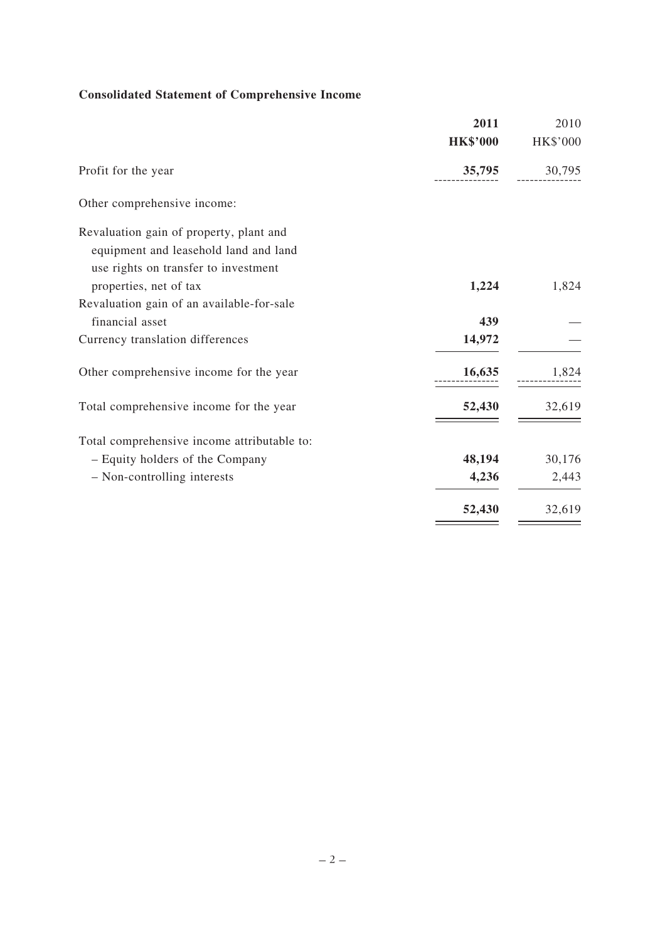# **Consolidated Statement of Comprehensive Income**

|                                             | 2011            | 2010     |
|---------------------------------------------|-----------------|----------|
|                                             | <b>HK\$'000</b> | HK\$'000 |
| Profit for the year                         | 35,795          | 30,795   |
| Other comprehensive income:                 |                 |          |
| Revaluation gain of property, plant and     |                 |          |
| equipment and leasehold land and land       |                 |          |
| use rights on transfer to investment        |                 |          |
| properties, net of tax                      | 1,224           | 1,824    |
| Revaluation gain of an available-for-sale   |                 |          |
| financial asset                             | 439             |          |
| Currency translation differences            | 14,972          |          |
| Other comprehensive income for the year     | 16,635          | 1,824    |
| Total comprehensive income for the year     | 52,430          | 32,619   |
| Total comprehensive income attributable to: |                 |          |
| - Equity holders of the Company             | 48,194          | 30,176   |
| - Non-controlling interests                 | 4,236           | 2,443    |
|                                             | 52,430          | 32,619   |
|                                             |                 |          |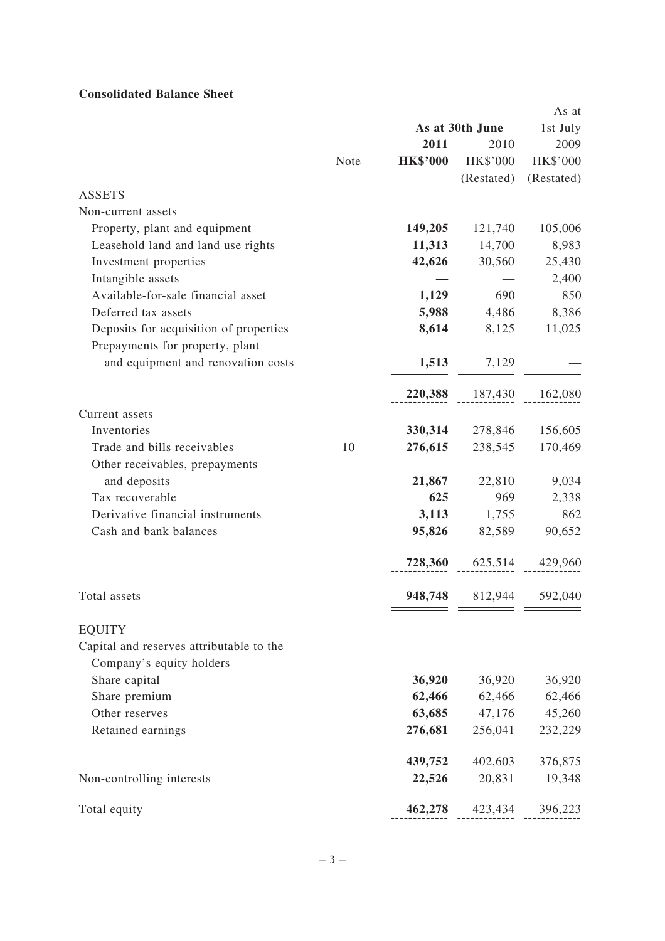# **Consolidated Balance Sheet**

|                                          |      |                 |                 | As at      |
|------------------------------------------|------|-----------------|-----------------|------------|
|                                          |      |                 | As at 30th June | 1st July   |
|                                          |      | 2011            | 2010            | 2009       |
|                                          | Note | <b>HK\$'000</b> | HK\$'000        | HK\$'000   |
|                                          |      |                 | (Restated)      | (Restated) |
| <b>ASSETS</b>                            |      |                 |                 |            |
| Non-current assets                       |      |                 |                 |            |
| Property, plant and equipment            |      | 149,205         | 121,740         | 105,006    |
| Leasehold land and land use rights       |      | 11,313          | 14,700          | 8,983      |
| Investment properties                    |      | 42,626          | 30,560          | 25,430     |
| Intangible assets                        |      |                 |                 | 2,400      |
| Available-for-sale financial asset       |      | 1,129           | 690             | 850        |
| Deferred tax assets                      |      | 5,988           | 4,486           | 8,386      |
| Deposits for acquisition of properties   |      | 8,614           | 8,125           | 11,025     |
| Prepayments for property, plant          |      |                 |                 |            |
| and equipment and renovation costs       |      | 1,513           | 7,129           |            |
|                                          |      | 220,388         | 187,430         | 162,080    |
| Current assets                           |      |                 |                 |            |
| Inventories                              |      | 330,314         | 278,846         | 156,605    |
| Trade and bills receivables              | 10   | 276,615         | 238,545         | 170,469    |
| Other receivables, prepayments           |      |                 |                 |            |
| and deposits                             |      | 21,867          | 22,810          | 9,034      |
| Tax recoverable                          |      | 625             | 969             | 2,338      |
| Derivative financial instruments         |      | 3,113           | 1,755           | 862        |
| Cash and bank balances                   |      | 95,826          | 82,589          | 90,652     |
|                                          |      | 728,360         | 625,514         | 429,960    |
|                                          |      |                 |                 |            |
| Total assets                             |      | 948,748         | 812,944         | 592,040    |
| <b>EQUITY</b>                            |      |                 |                 |            |
| Capital and reserves attributable to the |      |                 |                 |            |
| Company's equity holders                 |      |                 |                 |            |
| Share capital                            |      | 36,920          | 36,920          | 36,920     |
| Share premium                            |      | 62,466          | 62,466          | 62,466     |
| Other reserves                           |      | 63,685          | 47,176          | 45,260     |
| Retained earnings                        |      | 276,681         | 256,041         | 232,229    |
|                                          |      | 439,752         | 402,603         | 376,875    |
| Non-controlling interests                |      | 22,526          | 20,831          | 19,348     |
| Total equity                             |      | 462,278         | 423,434         | 396,223    |
|                                          |      |                 |                 |            |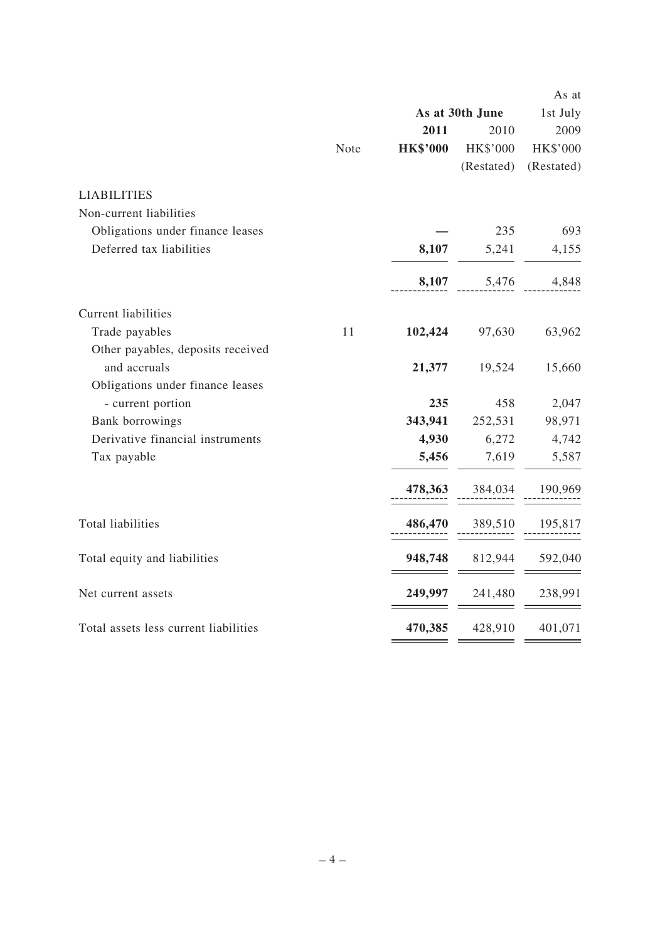|                                       |      |                 |                 | As at      |
|---------------------------------------|------|-----------------|-----------------|------------|
|                                       |      |                 | As at 30th June | 1st July   |
|                                       |      | 2011            | 2010            | 2009       |
|                                       | Note | <b>HK\$'000</b> | HK\$'000        | HK\$'000   |
|                                       |      |                 | (Restated)      | (Restated) |
| <b>LIABILITIES</b>                    |      |                 |                 |            |
| Non-current liabilities               |      |                 |                 |            |
| Obligations under finance leases      |      |                 | 235             | 693        |
| Deferred tax liabilities              |      | 8,107           | 5,241           | 4,155      |
|                                       |      | 8,107           | 5,476           | 4,848      |
| <b>Current liabilities</b>            |      |                 |                 |            |
| Trade payables                        | 11   | 102,424         | 97,630          | 63,962     |
| Other payables, deposits received     |      |                 |                 |            |
| and accruals                          |      | 21,377          | 19,524          | 15,660     |
| Obligations under finance leases      |      |                 |                 |            |
| - current portion                     |      | 235             | 458             | 2,047      |
| Bank borrowings                       |      | 343,941         | 252,531         | 98,971     |
| Derivative financial instruments      |      | 4,930           | 6,272           | 4,742      |
| Tax payable                           |      | 5,456           | 7,619           | 5,587      |
|                                       |      | 478,363         | 384,034         | 190,969    |
| Total liabilities                     |      | 486,470         | 389,510         | 195,817    |
| Total equity and liabilities          |      | 948,748         | 812,944         | 592,040    |
| Net current assets                    |      | 249,997         | 241,480         | 238,991    |
| Total assets less current liabilities |      | 470,385         | 428,910         | 401,071    |
|                                       |      |                 |                 |            |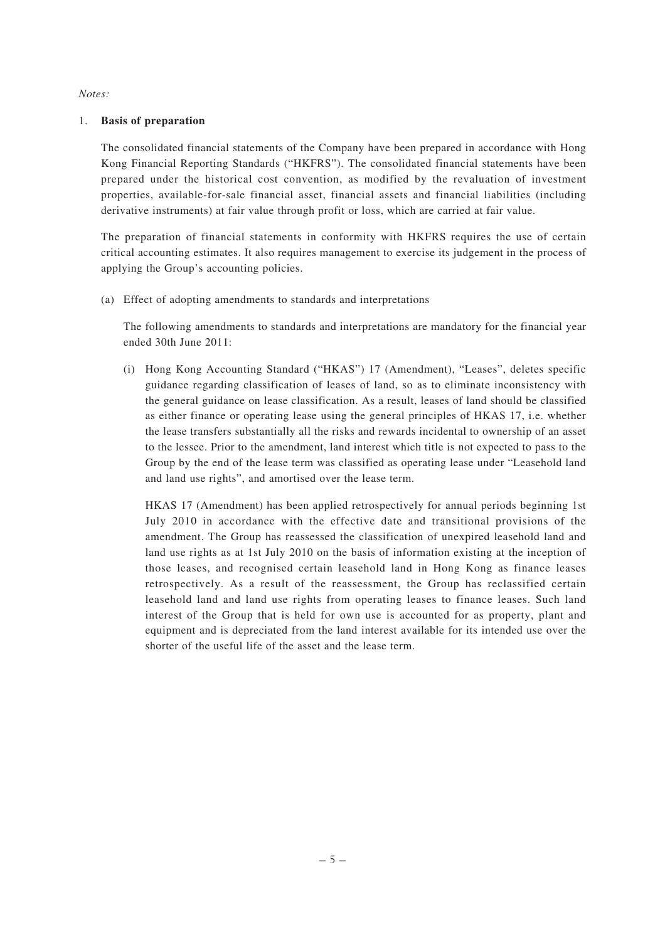#### *Notes:*

#### 1. **Basis of preparation**

The consolidated financial statements of the Company have been prepared in accordance with Hong Kong Financial Reporting Standards ("HKFRS"). The consolidated financial statements have been prepared under the historical cost convention, as modified by the revaluation of investment properties, available-for-sale financial asset, financial assets and financial liabilities (including derivative instruments) at fair value through profit or loss, which are carried at fair value.

The preparation of financial statements in conformity with HKFRS requires the use of certain critical accounting estimates. It also requires management to exercise its judgement in the process of applying the Group's accounting policies.

(a) Effect of adopting amendments to standards and interpretations

The following amendments to standards and interpretations are mandatory for the financial year ended 30th June 2011:

(i) Hong Kong Accounting Standard ("HKAS") 17 (Amendment), "Leases", deletes specific guidance regarding classification of leases of land, so as to eliminate inconsistency with the general guidance on lease classification. As a result, leases of land should be classified as either finance or operating lease using the general principles of HKAS 17, i.e. whether the lease transfers substantially all the risks and rewards incidental to ownership of an asset to the lessee. Prior to the amendment, land interest which title is not expected to pass to the Group by the end of the lease term was classified as operating lease under "Leasehold land and land use rights", and amortised over the lease term.

HKAS 17 (Amendment) has been applied retrospectively for annual periods beginning 1st July 2010 in accordance with the effective date and transitional provisions of the amendment. The Group has reassessed the classification of unexpired leasehold land and land use rights as at 1st July 2010 on the basis of information existing at the inception of those leases, and recognised certain leasehold land in Hong Kong as finance leases retrospectively. As a result of the reassessment, the Group has reclassified certain leasehold land and land use rights from operating leases to finance leases. Such land interest of the Group that is held for own use is accounted for as property, plant and equipment and is depreciated from the land interest available for its intended use over the shorter of the useful life of the asset and the lease term.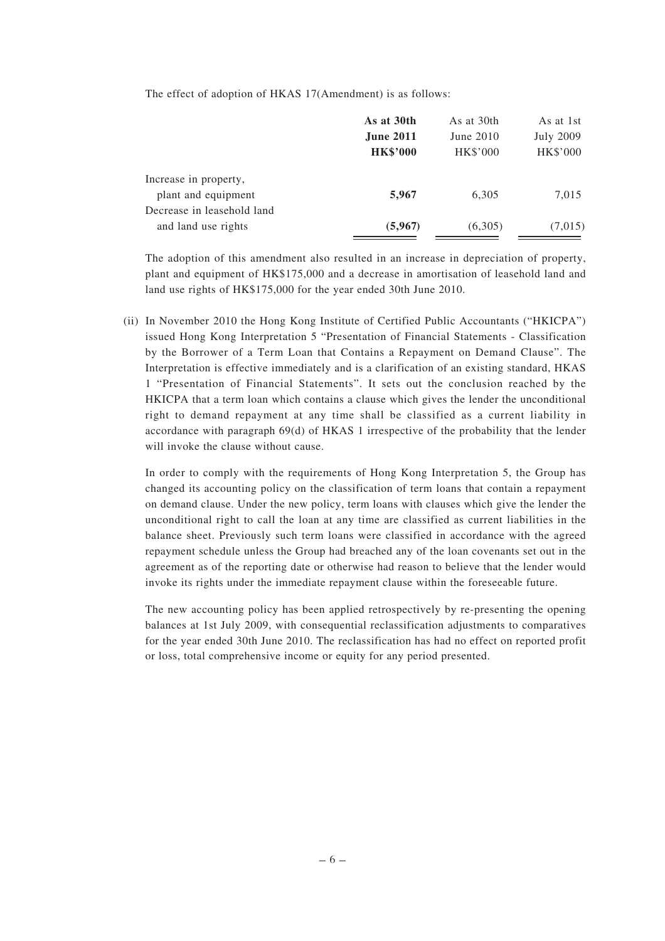The effect of adoption of HKAS 17(Amendment) is as follows:

|                            | As at 30th       | As at 30th      | As at 1st        |
|----------------------------|------------------|-----------------|------------------|
|                            | <b>June 2011</b> | June 2010       | <b>July 2009</b> |
|                            | <b>HK\$'000</b>  | <b>HK\$'000</b> | <b>HK\$'000</b>  |
| Increase in property,      |                  |                 |                  |
| plant and equipment        | 5,967            | 6,305           | 7,015            |
| Decrease in leasehold land |                  |                 |                  |
| and land use rights        | (5,967)          | (6,305)         | (7,015)          |

The adoption of this amendment also resulted in an increase in depreciation of property, plant and equipment of HK\$175,000 and a decrease in amortisation of leasehold land and land use rights of HK\$175,000 for the year ended 30th June 2010.

(ii) In November 2010 the Hong Kong Institute of Certified Public Accountants ("HKICPA") issued Hong Kong Interpretation 5 "Presentation of Financial Statements - Classification by the Borrower of a Term Loan that Contains a Repayment on Demand Clause". The Interpretation is effective immediately and is a clarification of an existing standard, HKAS 1 "Presentation of Financial Statements". It sets out the conclusion reached by the HKICPA that a term loan which contains a clause which gives the lender the unconditional right to demand repayment at any time shall be classified as a current liability in accordance with paragraph 69(d) of HKAS 1 irrespective of the probability that the lender will invoke the clause without cause.

In order to comply with the requirements of Hong Kong Interpretation 5, the Group has changed its accounting policy on the classification of term loans that contain a repayment on demand clause. Under the new policy, term loans with clauses which give the lender the unconditional right to call the loan at any time are classified as current liabilities in the balance sheet. Previously such term loans were classified in accordance with the agreed repayment schedule unless the Group had breached any of the loan covenants set out in the agreement as of the reporting date or otherwise had reason to believe that the lender would invoke its rights under the immediate repayment clause within the foreseeable future.

The new accounting policy has been applied retrospectively by re-presenting the opening balances at 1st July 2009, with consequential reclassification adjustments to comparatives for the year ended 30th June 2010. The reclassification has had no effect on reported profit or loss, total comprehensive income or equity for any period presented.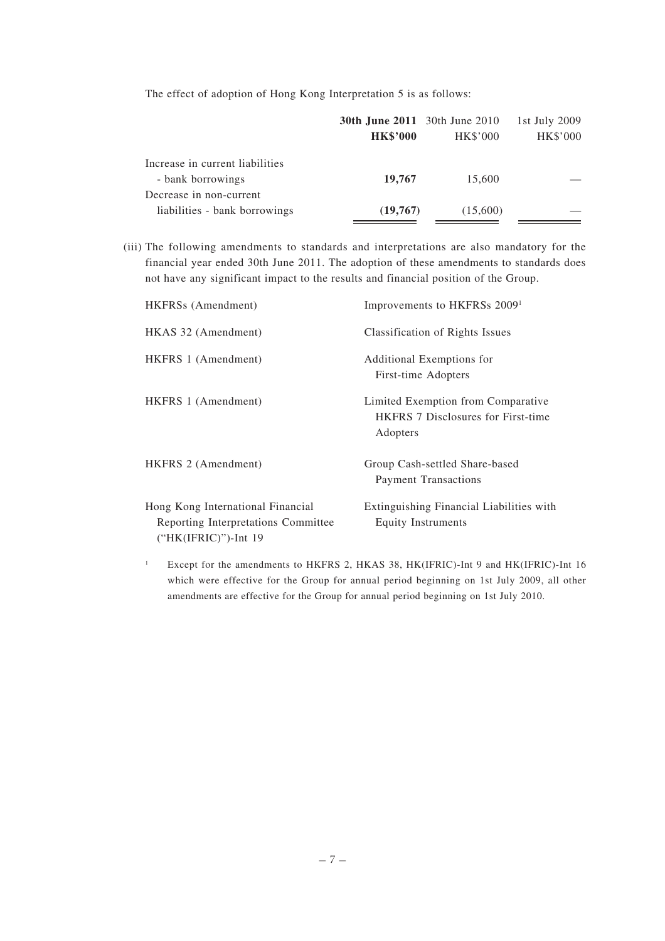The effect of adoption of Hong Kong Interpretation 5 is as follows:

|                                 | <b>30th June 2011</b> 30th June 2010 |          | 1st July 2009 |
|---------------------------------|--------------------------------------|----------|---------------|
|                                 | <b>HK\$'000</b>                      | HK\$'000 | HK\$'000      |
| Increase in current liabilities |                                      |          |               |
| - bank borrowings               | 19,767                               | 15,600   |               |
| Decrease in non-current         |                                      |          |               |
| liabilities - bank borrowings   | (19,767)                             | (15,600) |               |

(iii) The following amendments to standards and interpretations are also mandatory for the financial year ended 30th June 2011. The adoption of these amendments to standards does not have any significant impact to the results and financial position of the Group.

| HKFRSs (Amendment)                                                                               | Improvements to HKFRSs 2009 <sup>1</sup>                                                    |
|--------------------------------------------------------------------------------------------------|---------------------------------------------------------------------------------------------|
| HKAS 32 (Amendment)                                                                              | Classification of Rights Issues                                                             |
| HKFRS 1 (Amendment)                                                                              | Additional Exemptions for<br>First-time Adopters                                            |
| HKFRS 1 (Amendment)                                                                              | Limited Exemption from Comparative<br><b>HKFRS</b> 7 Disclosures for First-time<br>Adopters |
| HKFRS 2 (Amendment)                                                                              | Group Cash-settled Share-based<br><b>Payment Transactions</b>                               |
| Hong Kong International Financial<br>Reporting Interpretations Committee<br>("HK(IFRIC)")-Int 19 | Extinguishing Financial Liabilities with<br><b>Equity Instruments</b>                       |

<sup>1</sup> Except for the amendments to HKFRS 2, HKAS 38, HK(IFRIC)-Int 9 and HK(IFRIC)-Int 16 which were effective for the Group for annual period beginning on 1st July 2009, all other amendments are effective for the Group for annual period beginning on 1st July 2010.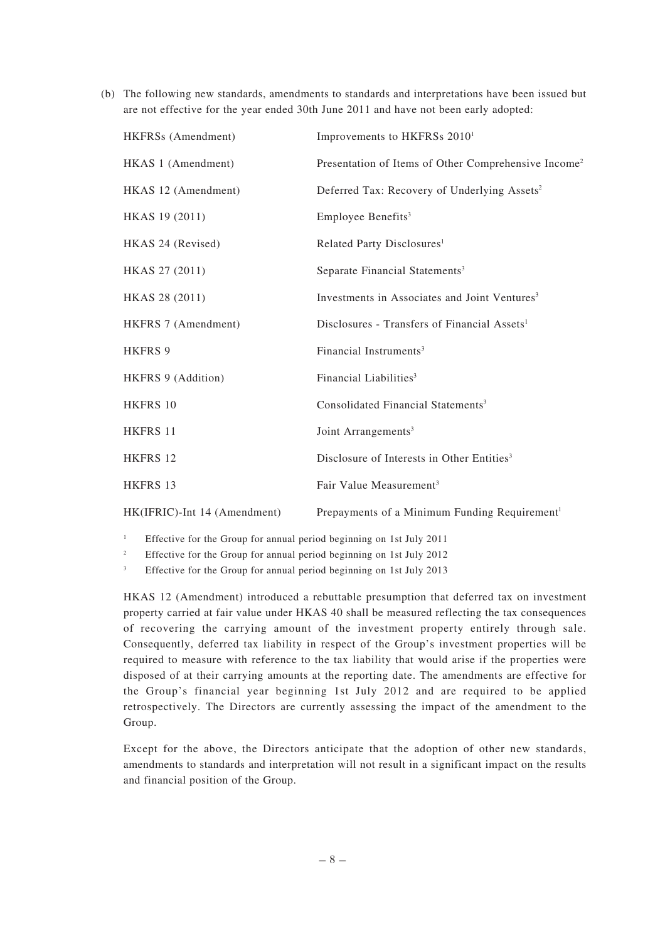(b) The following new standards, amendments to standards and interpretations have been issued but are not effective for the year ended 30th June 2011 and have not been early adopted:

| HKFRSs (Amendment)           | Improvements to HKFRSs 2010 <sup>1</sup>                         |
|------------------------------|------------------------------------------------------------------|
| HKAS 1 (Amendment)           | Presentation of Items of Other Comprehensive Income <sup>2</sup> |
| HKAS 12 (Amendment)          | Deferred Tax: Recovery of Underlying Assets <sup>2</sup>         |
| HKAS 19 (2011)               | Employee Benefits <sup>3</sup>                                   |
| HKAS 24 (Revised)            | Related Party Disclosures <sup>1</sup>                           |
| HKAS 27 (2011)               | Separate Financial Statements <sup>3</sup>                       |
| HKAS 28 (2011)               | Investments in Associates and Joint Ventures <sup>3</sup>        |
| HKFRS 7 (Amendment)          | Disclosures - Transfers of Financial Assets <sup>1</sup>         |
| <b>HKFRS 9</b>               | Financial Instruments <sup>3</sup>                               |
| HKFRS 9 (Addition)           | Financial Liabilities <sup>3</sup>                               |
| <b>HKFRS 10</b>              | Consolidated Financial Statements <sup>3</sup>                   |
| HKFRS 11                     | Joint Arrangements <sup>3</sup>                                  |
| <b>HKFRS 12</b>              | Disclosure of Interests in Other Entities <sup>3</sup>           |
| <b>HKFRS 13</b>              | Fair Value Measurement <sup>3</sup>                              |
| HK(IFRIC)-Int 14 (Amendment) | Prepayments of a Minimum Funding Requirement <sup>1</sup>        |

<sup>1</sup> Effective for the Group for annual period beginning on 1st July 2011

<sup>2</sup> Effective for the Group for annual period beginning on 1st July 2012

<sup>3</sup> Effective for the Group for annual period beginning on 1st July 2013

HKAS 12 (Amendment) introduced a rebuttable presumption that deferred tax on investment property carried at fair value under HKAS 40 shall be measured reflecting the tax consequences of recovering the carrying amount of the investment property entirely through sale. Consequently, deferred tax liability in respect of the Group's investment properties will be required to measure with reference to the tax liability that would arise if the properties were disposed of at their carrying amounts at the reporting date. The amendments are effective for the Group's financial year beginning 1st July 2012 and are required to be applied retrospectively. The Directors are currently assessing the impact of the amendment to the Group.

Except for the above, the Directors anticipate that the adoption of other new standards, amendments to standards and interpretation will not result in a significant impact on the results and financial position of the Group.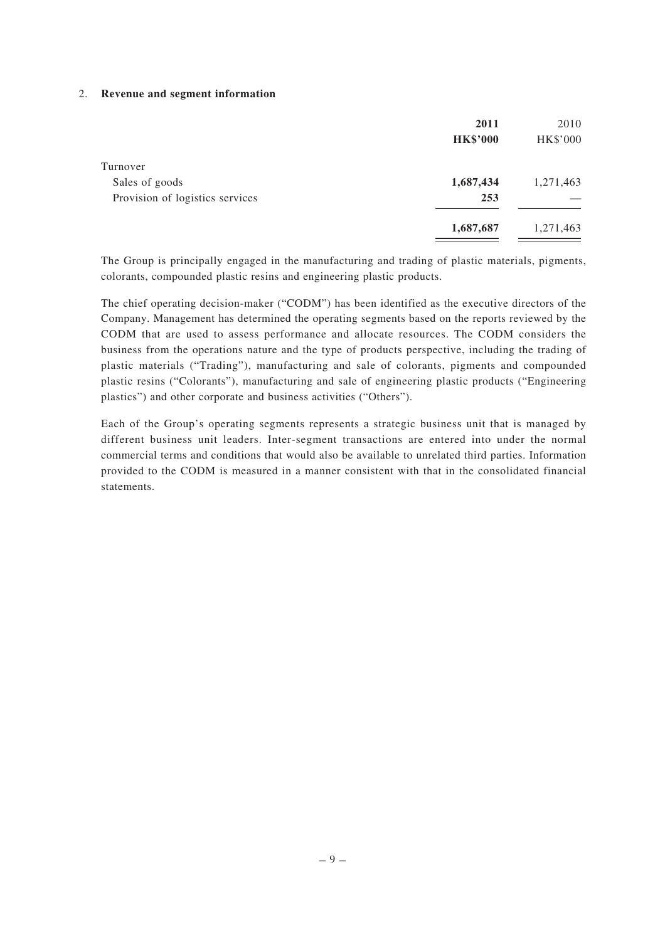#### 2. **Revenue and segment information**

|                                 | 2011            | 2010      |
|---------------------------------|-----------------|-----------|
|                                 | <b>HK\$'000</b> | HK\$'000  |
| Turnover                        |                 |           |
| Sales of goods                  | 1,687,434       | 1,271,463 |
| Provision of logistics services | 253             |           |
|                                 | 1,687,687       | 1,271,463 |

The Group is principally engaged in the manufacturing and trading of plastic materials, pigments, colorants, compounded plastic resins and engineering plastic products.

The chief operating decision-maker ("CODM") has been identified as the executive directors of the Company. Management has determined the operating segments based on the reports reviewed by the CODM that are used to assess performance and allocate resources. The CODM considers the business from the operations nature and the type of products perspective, including the trading of plastic materials ("Trading"), manufacturing and sale of colorants, pigments and compounded plastic resins ("Colorants"), manufacturing and sale of engineering plastic products ("Engineering plastics") and other corporate and business activities ("Others").

Each of the Group's operating segments represents a strategic business unit that is managed by different business unit leaders. Inter-segment transactions are entered into under the normal commercial terms and conditions that would also be available to unrelated third parties. Information provided to the CODM is measured in a manner consistent with that in the consolidated financial statements.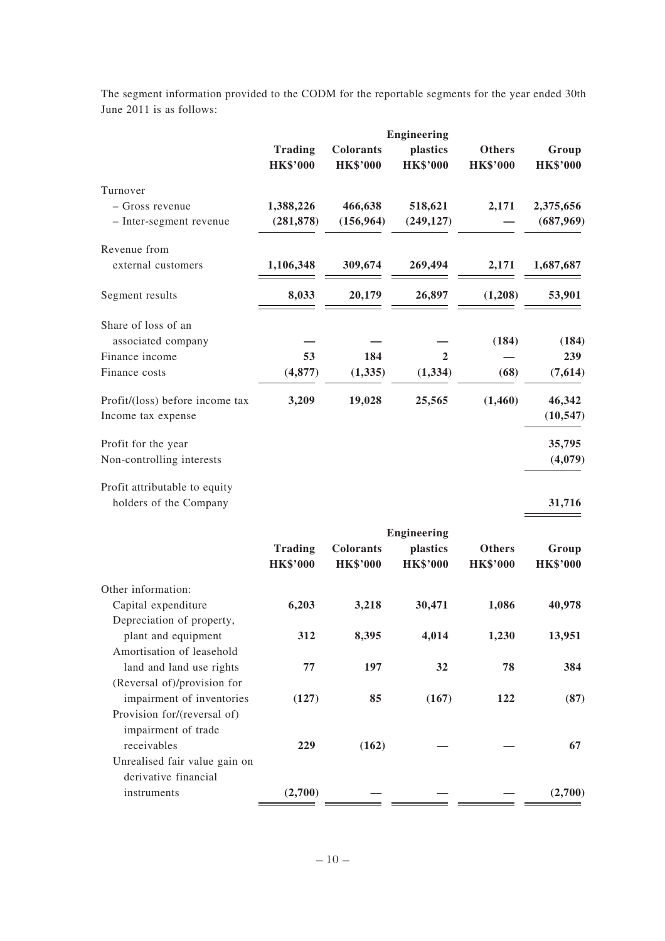The segment information provided to the CODM for the reportable segments for the year ended 30th June 2011 is as follows:

|                                                          |                                   |                                     | <b>Engineering</b>          |                                  |                          |
|----------------------------------------------------------|-----------------------------------|-------------------------------------|-----------------------------|----------------------------------|--------------------------|
|                                                          | <b>Trading</b><br><b>HK\$'000</b> | <b>Colorants</b><br><b>HK\$'000</b> | plastics<br><b>HK\$'000</b> | <b>Others</b><br><b>HK\$'000</b> | Group<br><b>HK\$'000</b> |
| Turnover                                                 |                                   |                                     |                             |                                  |                          |
| - Gross revenue                                          | 1,388,226                         | 466,638                             | 518,621                     | 2,171                            | 2,375,656                |
| - Inter-segment revenue                                  | (281, 878)                        | (156, 964)                          | (249, 127)                  |                                  | (687, 969)               |
| Revenue from                                             |                                   |                                     |                             |                                  |                          |
| external customers                                       | 1,106,348                         | 309,674                             | 269,494                     | 2,171                            | 1,687,687                |
| Segment results                                          | 8,033                             | 20,179                              | 26,897                      | (1,208)                          | 53,901                   |
| Share of loss of an                                      |                                   |                                     |                             |                                  |                          |
| associated company                                       |                                   |                                     |                             | (184)                            | (184)                    |
| Finance income                                           | 53                                | 184                                 | 2                           |                                  | 239                      |
| Finance costs                                            | (4, 877)                          | (1,335)                             | (1, 334)                    | (68)                             | (7,614)                  |
| Profit/(loss) before income tax                          | 3,209                             | 19,028                              | 25,565                      | (1,460)                          | 46,342                   |
| Income tax expense                                       |                                   |                                     |                             |                                  | (10, 547)                |
| Profit for the year                                      |                                   |                                     |                             |                                  | 35,795                   |
| Non-controlling interests                                |                                   |                                     |                             |                                  | (4,079)                  |
| Profit attributable to equity<br>holders of the Company  |                                   |                                     |                             |                                  | 31,716                   |
|                                                          |                                   |                                     | <b>Engineering</b>          |                                  |                          |
|                                                          | <b>Trading</b><br><b>HK\$'000</b> | <b>Colorants</b><br><b>HK\$'000</b> | plastics<br><b>HK\$'000</b> | <b>Others</b><br><b>HK\$'000</b> | Group<br><b>HK\$'000</b> |
| Other information:                                       |                                   |                                     |                             |                                  |                          |
| Capital expenditure                                      | 6,203                             | 3,218                               | 30,471                      | 1,086                            | 40,978                   |
| Depreciation of property,<br>plant and equipment         | 312                               | 8,395                               | 4,014                       | 1,230                            | 13,951                   |
| Amortisation of leasehold                                |                                   |                                     |                             |                                  |                          |
| land and land use rights                                 | 77                                | 197                                 | 32                          | 78                               | 384                      |
| (Reversal of)/provision for<br>impairment of inventories | (127)                             | 85                                  | (167)                       | 122                              | (87)                     |
| Provision for/(reversal of)<br>impairment of trade       |                                   |                                     |                             |                                  |                          |
| receivables                                              | 229                               | (162)                               |                             |                                  | 67                       |
| Unrealised fair value gain on                            |                                   |                                     |                             |                                  |                          |
| derivative financial                                     |                                   |                                     |                             |                                  |                          |
| instruments                                              | (2,700)                           |                                     |                             |                                  | (2,700)                  |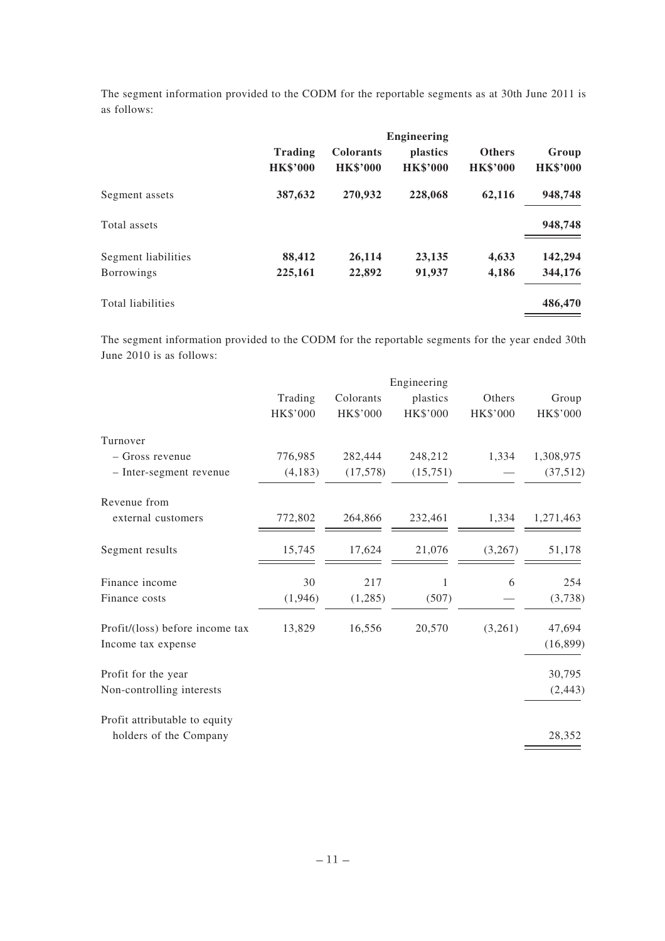The segment information provided to the CODM for the reportable segments as at 30th June 2011 is as follows:

|                     | <b>Engineering</b>         |                                     |                                    |                                  |                          |
|---------------------|----------------------------|-------------------------------------|------------------------------------|----------------------------------|--------------------------|
|                     | Trading<br><b>HK\$'000</b> | <b>Colorants</b><br><b>HK\$'000</b> | <i>plastics</i><br><b>HK\$'000</b> | <b>Others</b><br><b>HK\$'000</b> | Group<br><b>HK\$'000</b> |
| Segment assets      | 387,632                    | 270,932                             | 228,068                            | 62,116                           | 948,748                  |
| Total assets        |                            |                                     |                                    |                                  | 948,748                  |
| Segment liabilities | 88,412                     | 26,114                              | 23,135                             | 4,633                            | 142,294                  |
| <b>Borrowings</b>   | 225,161                    | 22,892                              | 91,937                             | 4,186                            | 344,176                  |
| Total liabilities   |                            |                                     |                                    |                                  | 486,470                  |

The segment information provided to the CODM for the reportable segments for the year ended 30th June 2010 is as follows:

|                                 | Engineering |           |          |          |           |
|---------------------------------|-------------|-----------|----------|----------|-----------|
|                                 | Trading     | Colorants | plastics | Others   | Group     |
|                                 | HK\$'000    | HK\$'000  | HK\$'000 | HK\$'000 | HK\$'000  |
| Turnover                        |             |           |          |          |           |
| - Gross revenue                 | 776,985     | 282,444   | 248,212  | 1,334    | 1,308,975 |
| - Inter-segment revenue         | (4,183)     | (17,578)  | (15,751) |          | (37,512)  |
| Revenue from                    |             |           |          |          |           |
| external customers              | 772,802     | 264,866   | 232,461  | 1,334    | 1,271,463 |
| Segment results                 | 15,745      | 17,624    | 21,076   | (3,267)  | 51,178    |
| Finance income                  | 30          | 217       | 1        | 6        | 254       |
| Finance costs                   | (1,946)     | (1,285)   | (507)    |          | (3,738)   |
| Profit/(loss) before income tax | 13,829      | 16,556    | 20,570   | (3,261)  | 47,694    |
| Income tax expense              |             |           |          |          | (16, 899) |
| Profit for the year             |             |           |          |          | 30,795    |
| Non-controlling interests       |             |           |          |          | (2, 443)  |
| Profit attributable to equity   |             |           |          |          |           |
| holders of the Company          |             |           |          |          | 28,352    |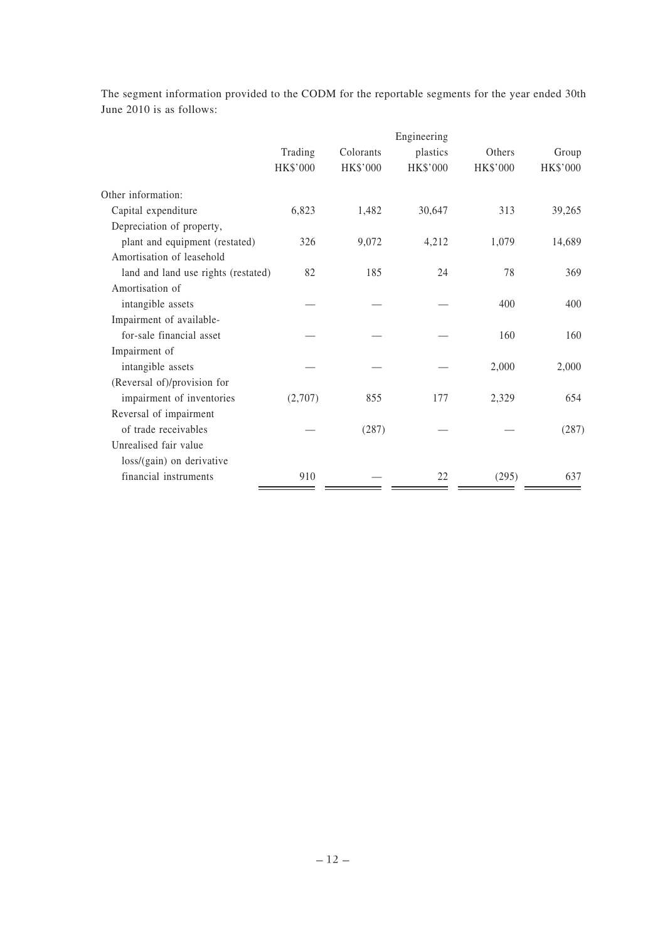|                                     |          |           | Engineering |          |          |
|-------------------------------------|----------|-----------|-------------|----------|----------|
|                                     | Trading  | Colorants | plastics    | Others   | Group    |
|                                     | HK\$'000 | HK\$'000  | HK\$'000    | HK\$'000 | HK\$'000 |
| Other information:                  |          |           |             |          |          |
| Capital expenditure                 | 6,823    | 1,482     | 30,647      | 313      | 39,265   |
| Depreciation of property,           |          |           |             |          |          |
| plant and equipment (restated)      | 326      | 9,072     | 4,212       | 1,079    | 14,689   |
| Amortisation of leasehold           |          |           |             |          |          |
| land and land use rights (restated) | 82       | 185       | 24          | 78       | 369      |
| Amortisation of                     |          |           |             |          |          |
| intangible assets                   |          |           |             | 400      | 400      |
| Impairment of available-            |          |           |             |          |          |
| for-sale financial asset            |          |           |             | 160      | 160      |
| Impairment of                       |          |           |             |          |          |
| intangible assets                   |          |           |             | 2,000    | 2,000    |
| (Reversal of)/provision for         |          |           |             |          |          |
| impairment of inventories           | (2,707)  | 855       | 177         | 2,329    | 654      |
| Reversal of impairment              |          |           |             |          |          |
| of trade receivables                |          | (287)     |             |          | (287)    |
| Unrealised fair value               |          |           |             |          |          |
| loss/(gain) on derivative           |          |           |             |          |          |
| financial instruments               | 910      |           | 22          | (295)    | 637      |

The segment information provided to the CODM for the reportable segments for the year ended 30th June 2010 is as follows: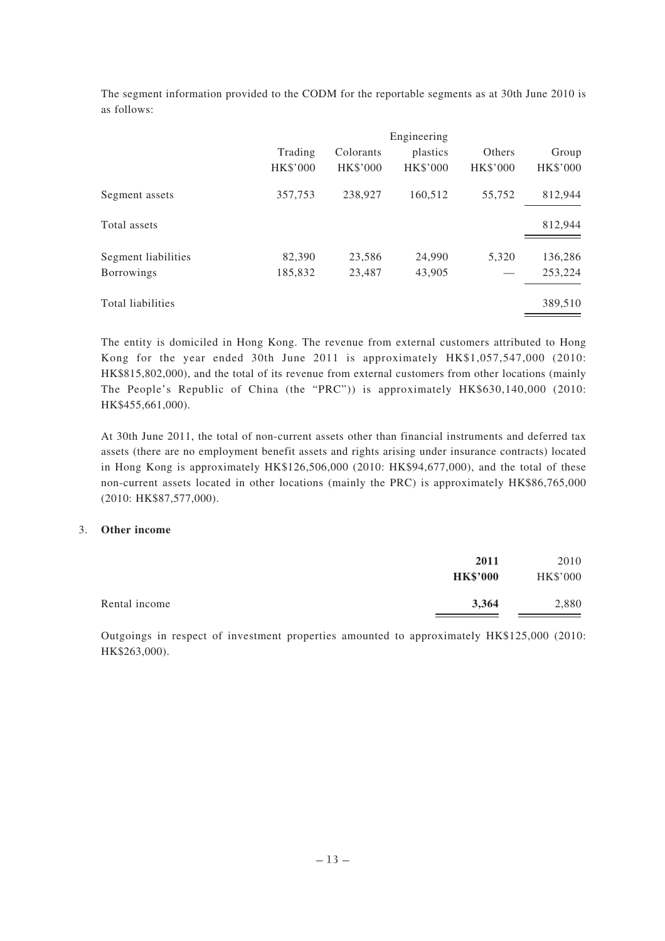The segment information provided to the CODM for the reportable segments as at 30th June 2010 is as follows:

|                     | Trading<br>HK\$'000 | Colorants<br><b>HK\$'000</b> | Engineering<br>plastics<br><b>HK\$'000</b> | Others<br><b>HK\$'000</b> | Group<br>HK\$'000 |
|---------------------|---------------------|------------------------------|--------------------------------------------|---------------------------|-------------------|
| Segment assets      | 357,753             | 238,927                      | 160,512                                    | 55.752                    | 812,944           |
| Total assets        |                     |                              |                                            |                           | 812,944           |
| Segment liabilities | 82,390              | 23,586                       | 24,990                                     | 5,320                     | 136,286           |
| Borrowings          | 185,832             | 23,487                       | 43,905                                     |                           | 253,224           |
| Total liabilities   |                     |                              |                                            |                           | 389,510           |

The entity is domiciled in Hong Kong. The revenue from external customers attributed to Hong Kong for the year ended 30th June 2011 is approximately HK\$1,057,547,000 (2010: HK\$815,802,000), and the total of its revenue from external customers from other locations (mainly The People's Republic of China (the "PRC")) is approximately HK\$630,140,000 (2010: HK\$455,661,000).

At 30th June 2011, the total of non-current assets other than financial instruments and deferred tax assets (there are no employment benefit assets and rights arising under insurance contracts) located in Hong Kong is approximately HK\$126,506,000 (2010: HK\$94,677,000), and the total of these non-current assets located in other locations (mainly the PRC) is approximately HK\$86,765,000 (2010: HK\$87,577,000).

#### 3. **Other income**

| 2011            | 2010     |
|-----------------|----------|
| <b>HK\$'000</b> | HK\$'000 |
| 3,364           | 2,880    |
|                 |          |

Outgoings in respect of investment properties amounted to approximately HK\$125,000 (2010: HK\$263,000).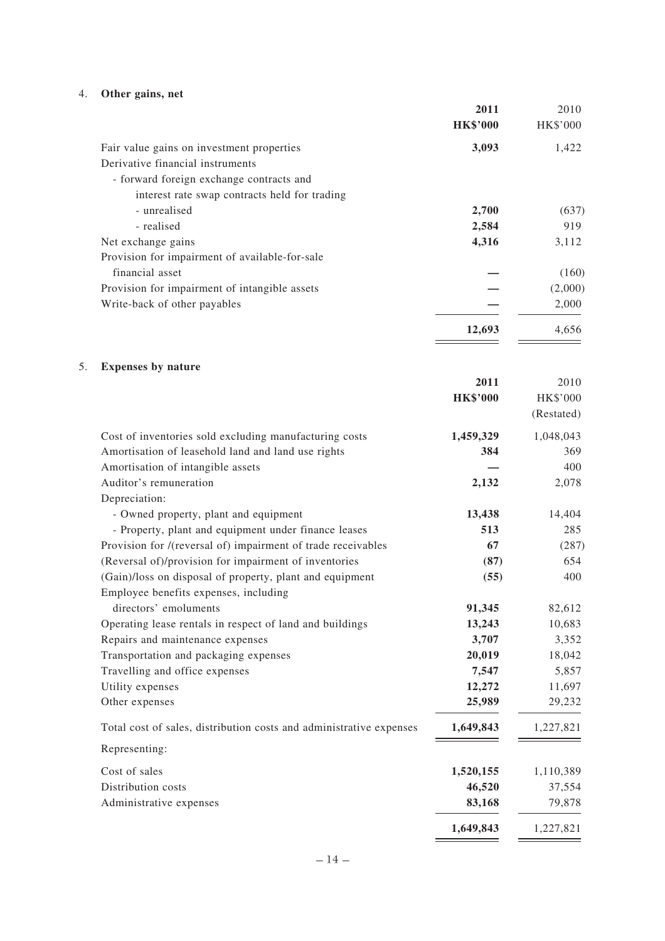# 4. **Other gains, net**

|    |                                                                                                   | 2011<br><b>HK\$'000</b> | 2010<br>HK\$'000 |
|----|---------------------------------------------------------------------------------------------------|-------------------------|------------------|
|    | Fair value gains on investment properties                                                         | 3,093                   | 1,422            |
|    | Derivative financial instruments                                                                  |                         |                  |
|    | - forward foreign exchange contracts and                                                          |                         |                  |
|    | interest rate swap contracts held for trading                                                     |                         |                  |
|    | - unrealised                                                                                      | 2,700                   | (637)            |
|    | - realised                                                                                        | 2,584                   | 919              |
|    | Net exchange gains                                                                                | 4,316                   | 3,112            |
|    | Provision for impairment of available-for-sale                                                    |                         |                  |
|    | financial asset                                                                                   |                         | (160)            |
|    | Provision for impairment of intangible assets                                                     |                         | (2,000)          |
|    | Write-back of other payables                                                                      |                         | 2,000            |
|    |                                                                                                   | 12,693                  | 4,656            |
|    |                                                                                                   |                         |                  |
| 5. | <b>Expenses by nature</b>                                                                         | 2011                    | 2010             |
|    |                                                                                                   | <b>HK\$'000</b>         | HK\$'000         |
|    |                                                                                                   |                         | (Restated)       |
|    | Cost of inventories sold excluding manufacturing costs                                            | 1,459,329               | 1,048,043        |
|    | Amortisation of leasehold land and land use rights                                                | 384                     | 369              |
|    | Amortisation of intangible assets                                                                 |                         | 400              |
|    | Auditor's remuneration                                                                            | 2,132                   | 2,078            |
|    | Depreciation:                                                                                     |                         |                  |
|    | - Owned property, plant and equipment                                                             | 13,438                  | 14,404           |
|    | - Property, plant and equipment under finance leases                                              | 513                     | 285              |
|    | Provision for /(reversal of) impairment of trade receivables                                      | 67                      | (287)            |
|    | (Reversal of)/provision for impairment of inventories                                             | (87)                    | 654              |
|    | (Gain)/loss on disposal of property, plant and equipment<br>Employee benefits expenses, including | (55)                    | 400              |
|    | directors' emoluments                                                                             | 91,345                  | 82,612           |
|    | Operating lease rentals in respect of land and buildings                                          | 13,243                  | 10,683           |
|    | Repairs and maintenance expenses                                                                  | 3,707                   | 3,352            |
|    | Transportation and packaging expenses                                                             | 20,019                  | 18,042           |
|    | Travelling and office expenses                                                                    | 7,547                   | 5,857            |
|    | Utility expenses                                                                                  | 12,272                  | 11,697           |
|    | Other expenses                                                                                    | 25,989                  | 29,232           |
|    | Total cost of sales, distribution costs and administrative expenses                               | 1,649,843               | 1,227,821        |
|    | Representing:                                                                                     |                         |                  |
|    | Cost of sales                                                                                     | 1,520,155               | 1,110,389        |
|    | Distribution costs                                                                                | 46,520                  | 37,554           |
|    | Administrative expenses                                                                           | 83,168                  | 79,878           |
|    |                                                                                                   | 1,649,843               | 1,227,821        |
|    |                                                                                                   |                         |                  |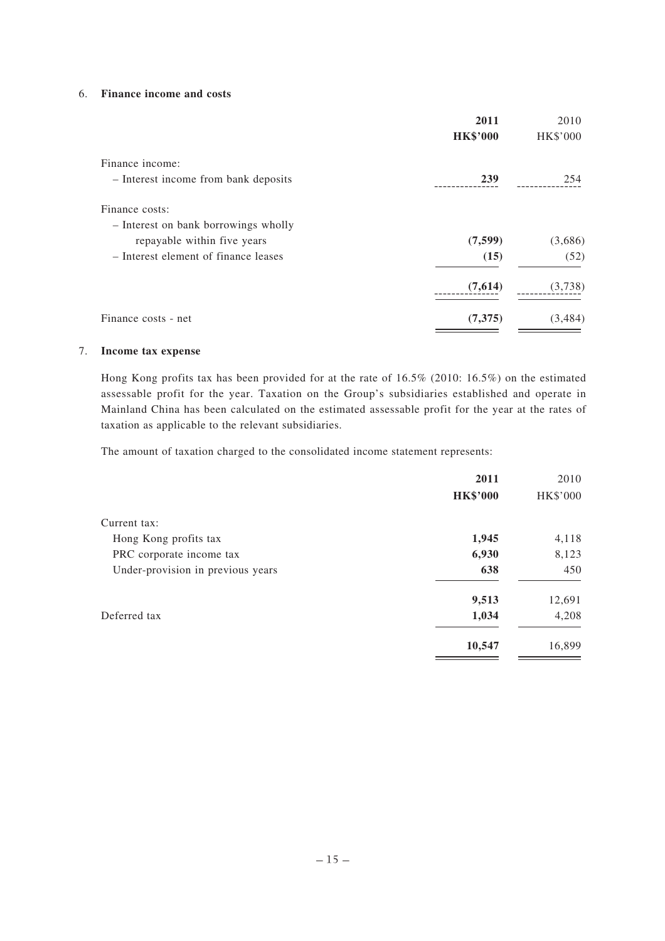#### 6. **Finance income and costs**

|                                      | 2011            | 2010            |
|--------------------------------------|-----------------|-----------------|
|                                      | <b>HK\$'000</b> | <b>HK\$'000</b> |
| Finance income:                      |                 |                 |
| - Interest income from bank deposits | 239             | 254             |
| Finance costs:                       |                 |                 |
| - Interest on bank borrowings wholly |                 |                 |
| repayable within five years          | (7,599)         | (3,686)         |
| - Interest element of finance leases | (15)            | (52)            |
|                                      | (7,614)         | (3,738)         |
| Finance costs - net                  | (7,375)         | (3, 484)        |

#### 7. **Income tax expense**

Hong Kong profits tax has been provided for at the rate of 16.5% (2010: 16.5%) on the estimated assessable profit for the year. Taxation on the Group's subsidiaries established and operate in Mainland China has been calculated on the estimated assessable profit for the year at the rates of taxation as applicable to the relevant subsidiaries.

The amount of taxation charged to the consolidated income statement represents:

|                                   | 2011            | 2010     |
|-----------------------------------|-----------------|----------|
|                                   | <b>HK\$'000</b> | HK\$'000 |
| Current tax:                      |                 |          |
| Hong Kong profits tax             | 1,945           | 4,118    |
| PRC corporate income tax          | 6,930           | 8,123    |
| Under-provision in previous years | 638             | 450      |
|                                   | 9,513           | 12,691   |
| Deferred tax                      | 1,034           | 4,208    |
|                                   | 10,547          | 16,899   |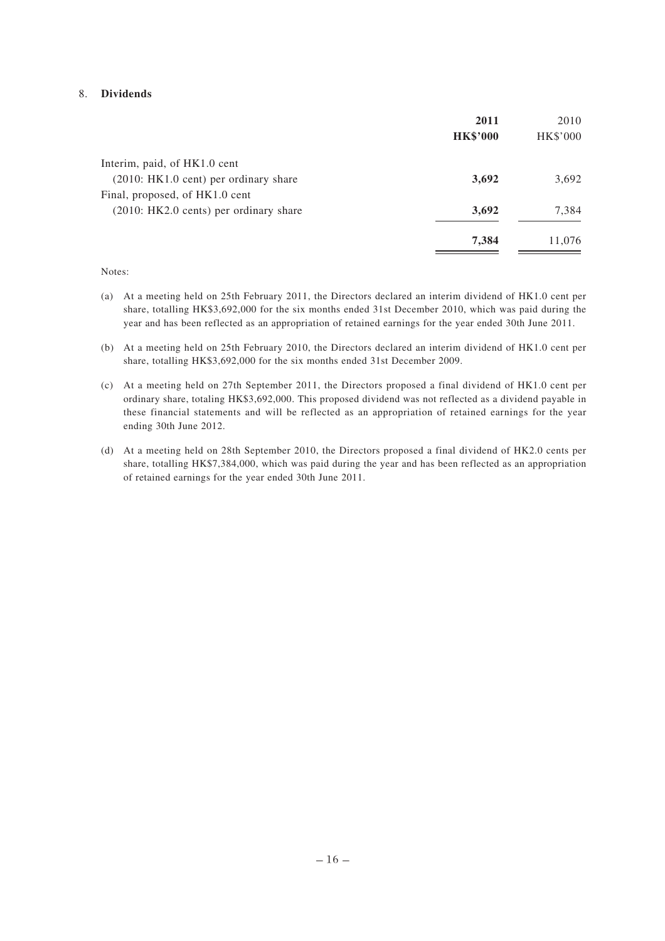#### 8. **Dividends**

|                                        | 2011            | 2010     |
|----------------------------------------|-----------------|----------|
|                                        | <b>HK\$'000</b> | HK\$'000 |
| Interim, paid, of HK1.0 cent           |                 |          |
| $(2010:HK1.0$ cent) per ordinary share | 3,692           | 3,692    |
| Final, proposed, of HK1.0 cent         |                 |          |
| (2010: HK2.0 cents) per ordinary share | 3,692           | 7,384    |
|                                        | 7,384           | 11,076   |

#### Notes:

- (a) At a meeting held on 25th February 2011, the Directors declared an interim dividend of HK1.0 cent per share, totalling HK\$3,692,000 for the six months ended 31st December 2010, which was paid during the year and has been reflected as an appropriation of retained earnings for the year ended 30th June 2011.
- (b) At a meeting held on 25th February 2010, the Directors declared an interim dividend of HK1.0 cent per share, totalling HK\$3,692,000 for the six months ended 31st December 2009.
- (c) At a meeting held on 27th September 2011, the Directors proposed a final dividend of HK1.0 cent per ordinary share, totaling HK\$3,692,000. This proposed dividend was not reflected as a dividend payable in these financial statements and will be reflected as an appropriation of retained earnings for the year ending 30th June 2012.
- (d) At a meeting held on 28th September 2010, the Directors proposed a final dividend of HK2.0 cents per share, totalling HK\$7,384,000, which was paid during the year and has been reflected as an appropriation of retained earnings for the year ended 30th June 2011.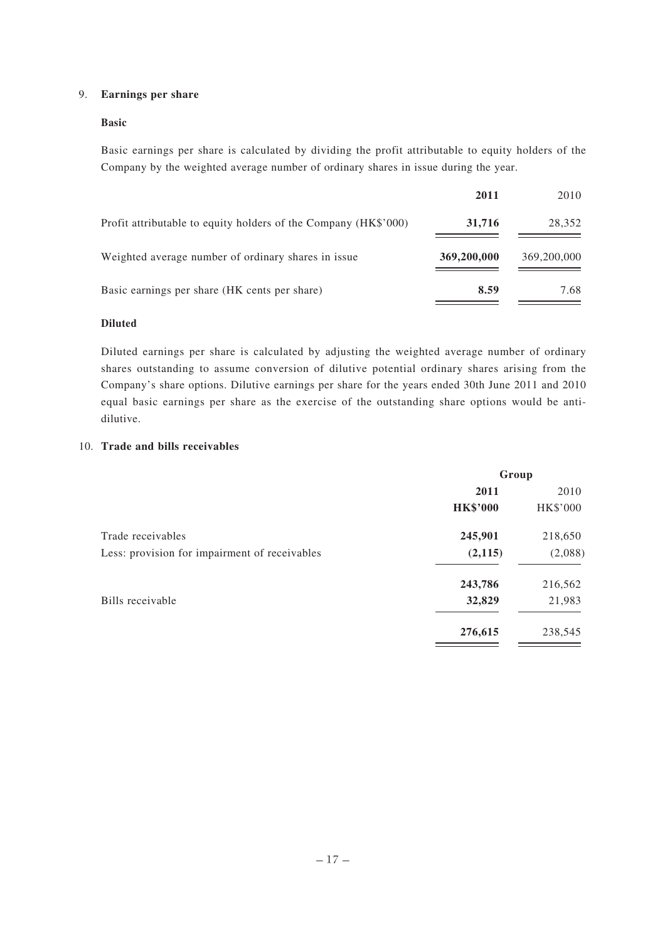### 9. **Earnings per share**

#### **Basic**

Basic earnings per share is calculated by dividing the profit attributable to equity holders of the Company by the weighted average number of ordinary shares in issue during the year.

|                                                                 | 2011        | 2010        |
|-----------------------------------------------------------------|-------------|-------------|
| Profit attributable to equity holders of the Company (HK\$'000) | 31,716      | 28,352      |
| Weighted average number of ordinary shares in issue.            | 369,200,000 | 369,200,000 |
| Basic earnings per share (HK cents per share)                   | 8.59        | 7.68        |

### **Diluted**

Diluted earnings per share is calculated by adjusting the weighted average number of ordinary shares outstanding to assume conversion of dilutive potential ordinary shares arising from the Company's share options. Dilutive earnings per share for the years ended 30th June 2011 and 2010 equal basic earnings per share as the exercise of the outstanding share options would be antidilutive.

#### 10. **Trade and bills receivables**

|                                               | Group           |          |
|-----------------------------------------------|-----------------|----------|
|                                               | 2011            | 2010     |
|                                               | <b>HK\$'000</b> | HK\$'000 |
| Trade receivables                             | 245,901         | 218,650  |
| Less: provision for impairment of receivables | (2,115)         | (2,088)  |
|                                               | 243,786         | 216,562  |
| Bills receivable                              | 32,829          | 21,983   |
|                                               | 276,615         | 238,545  |
|                                               |                 |          |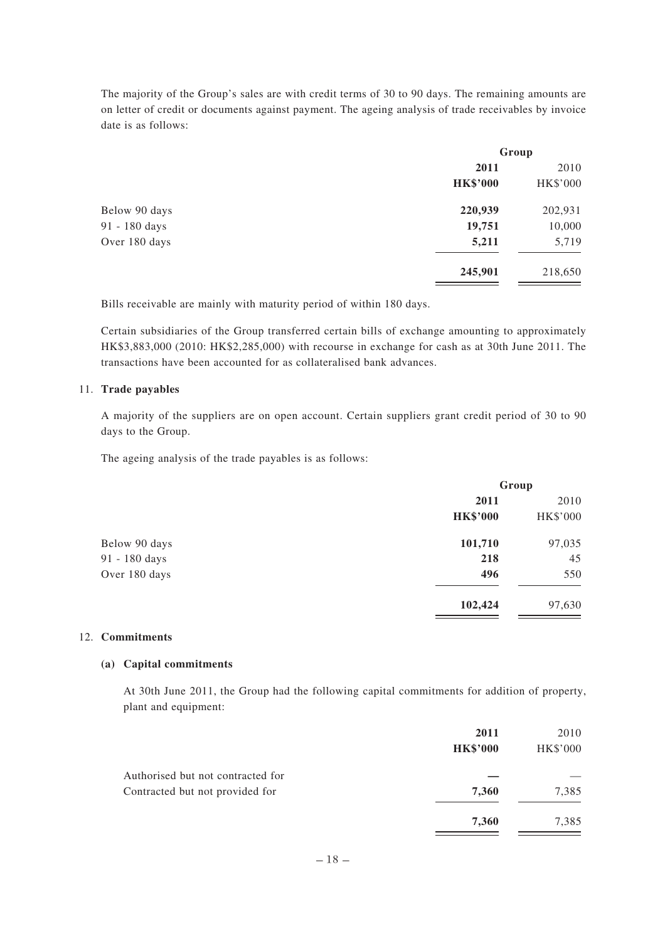The majority of the Group's sales are with credit terms of 30 to 90 days. The remaining amounts are on letter of credit or documents against payment. The ageing analysis of trade receivables by invoice date is as follows:

| Group           |          |
|-----------------|----------|
| 2011            | 2010     |
| <b>HK\$'000</b> | HK\$'000 |
| 220,939         | 202,931  |
| 19,751          | 10,000   |
| 5,211           | 5,719    |
| 245,901         | 218,650  |
|                 |          |

Bills receivable are mainly with maturity period of within 180 days.

Certain subsidiaries of the Group transferred certain bills of exchange amounting to approximately HK\$3,883,000 (2010: HK\$2,285,000) with recourse in exchange for cash as at 30th June 2011. The transactions have been accounted for as collateralised bank advances.

#### 11. **Trade payables**

A majority of the suppliers are on open account. Certain suppliers grant credit period of 30 to 90 days to the Group.

The ageing analysis of the trade payables is as follows:

|               | Group           |          |
|---------------|-----------------|----------|
|               | 2011            | 2010     |
|               | <b>HK\$'000</b> | HK\$'000 |
| Below 90 days | 101,710         | 97,035   |
| 91 - 180 days | 218             | 45       |
| Over 180 days | 496             | 550      |
|               | 102,424         | 97,630   |
|               |                 |          |

#### 12. **Commitments**

#### **(a) Capital commitments**

At 30th June 2011, the Group had the following capital commitments for addition of property, plant and equipment:

|                                   | 2011            | 2010            |
|-----------------------------------|-----------------|-----------------|
|                                   | <b>HK\$'000</b> | <b>HK\$'000</b> |
| Authorised but not contracted for |                 |                 |
| Contracted but not provided for   | 7,360           | 7,385           |
|                                   | 7,360           | 7,385           |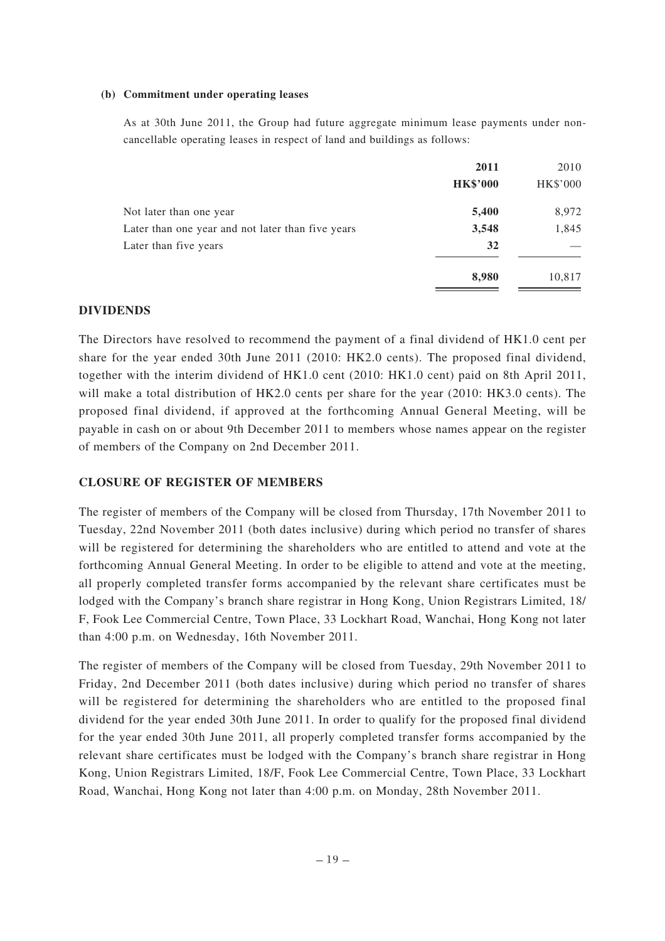#### **(b) Commitment under operating leases**

As at 30th June 2011, the Group had future aggregate minimum lease payments under noncancellable operating leases in respect of land and buildings as follows:

|                                                   | 2011            | 2010            |
|---------------------------------------------------|-----------------|-----------------|
|                                                   | <b>HK\$'000</b> | <b>HK\$'000</b> |
| Not later than one year                           | 5,400           | 8,972           |
| Later than one year and not later than five years | 3,548           | 1,845           |
| Later than five years                             | 32              |                 |
|                                                   | 8,980           | 10,817          |

#### **DIVIDENDS**

The Directors have resolved to recommend the payment of a final dividend of HK1.0 cent per share for the year ended 30th June 2011 (2010: HK2.0 cents). The proposed final dividend, together with the interim dividend of HK1.0 cent (2010: HK1.0 cent) paid on 8th April 2011, will make a total distribution of HK2.0 cents per share for the year (2010: HK3.0 cents). The proposed final dividend, if approved at the forthcoming Annual General Meeting, will be payable in cash on or about 9th December 2011 to members whose names appear on the register of members of the Company on 2nd December 2011.

### **CLOSURE OF REGISTER OF MEMBERS**

The register of members of the Company will be closed from Thursday, 17th November 2011 to Tuesday, 22nd November 2011 (both dates inclusive) during which period no transfer of shares will be registered for determining the shareholders who are entitled to attend and vote at the forthcoming Annual General Meeting. In order to be eligible to attend and vote at the meeting, all properly completed transfer forms accompanied by the relevant share certificates must be lodged with the Company's branch share registrar in Hong Kong, Union Registrars Limited, 18/ F, Fook Lee Commercial Centre, Town Place, 33 Lockhart Road, Wanchai, Hong Kong not later than 4:00 p.m. on Wednesday, 16th November 2011.

The register of members of the Company will be closed from Tuesday, 29th November 2011 to Friday, 2nd December 2011 (both dates inclusive) during which period no transfer of shares will be registered for determining the shareholders who are entitled to the proposed final dividend for the year ended 30th June 2011. In order to qualify for the proposed final dividend for the year ended 30th June 2011, all properly completed transfer forms accompanied by the relevant share certificates must be lodged with the Company's branch share registrar in Hong Kong, Union Registrars Limited, 18/F, Fook Lee Commercial Centre, Town Place, 33 Lockhart Road, Wanchai, Hong Kong not later than 4:00 p.m. on Monday, 28th November 2011.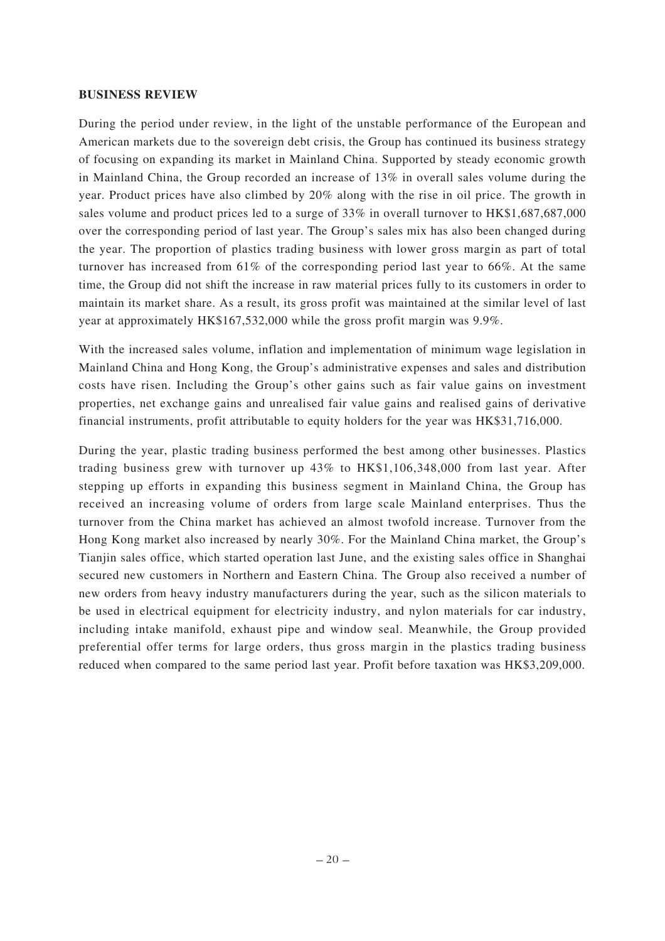### **BUSINESS REVIEW**

During the period under review, in the light of the unstable performance of the European and American markets due to the sovereign debt crisis, the Group has continued its business strategy of focusing on expanding its market in Mainland China. Supported by steady economic growth in Mainland China, the Group recorded an increase of 13% in overall sales volume during the year. Product prices have also climbed by 20% along with the rise in oil price. The growth in sales volume and product prices led to a surge of 33% in overall turnover to HK\$1,687,687,000 over the corresponding period of last year. The Group's sales mix has also been changed during the year. The proportion of plastics trading business with lower gross margin as part of total turnover has increased from 61% of the corresponding period last year to 66%. At the same time, the Group did not shift the increase in raw material prices fully to its customers in order to maintain its market share. As a result, its gross profit was maintained at the similar level of last year at approximately HK\$167,532,000 while the gross profit margin was 9.9%.

With the increased sales volume, inflation and implementation of minimum wage legislation in Mainland China and Hong Kong, the Group's administrative expenses and sales and distribution costs have risen. Including the Group's other gains such as fair value gains on investment properties, net exchange gains and unrealised fair value gains and realised gains of derivative financial instruments, profit attributable to equity holders for the year was HK\$31,716,000.

During the year, plastic trading business performed the best among other businesses. Plastics trading business grew with turnover up 43% to HK\$1,106,348,000 from last year. After stepping up efforts in expanding this business segment in Mainland China, the Group has received an increasing volume of orders from large scale Mainland enterprises. Thus the turnover from the China market has achieved an almost twofold increase. Turnover from the Hong Kong market also increased by nearly 30%. For the Mainland China market, the Group's Tianjin sales office, which started operation last June, and the existing sales office in Shanghai secured new customers in Northern and Eastern China. The Group also received a number of new orders from heavy industry manufacturers during the year, such as the silicon materials to be used in electrical equipment for electricity industry, and nylon materials for car industry, including intake manifold, exhaust pipe and window seal. Meanwhile, the Group provided preferential offer terms for large orders, thus gross margin in the plastics trading business reduced when compared to the same period last year. Profit before taxation was HK\$3,209,000.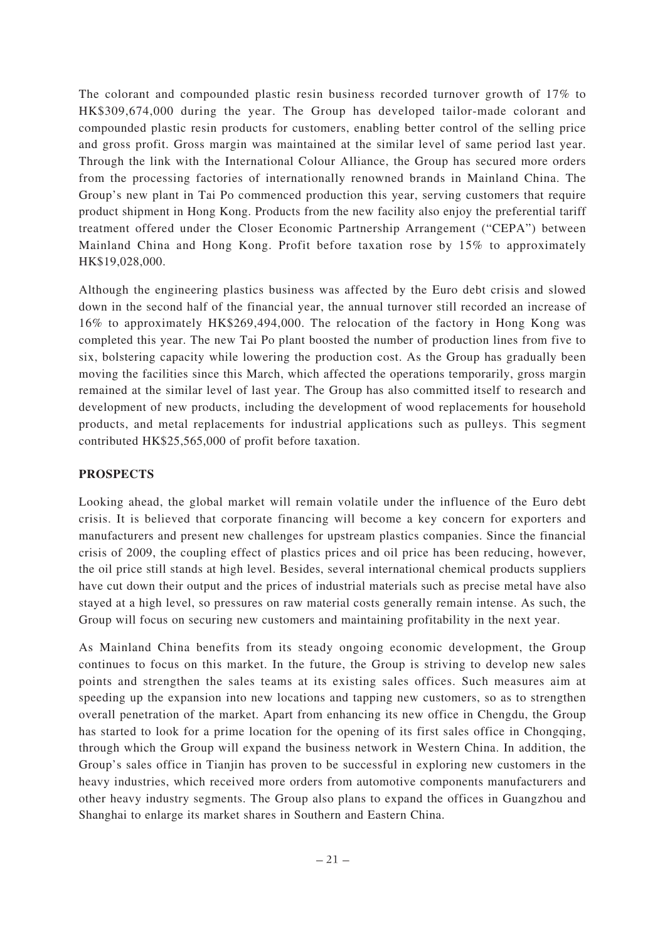The colorant and compounded plastic resin business recorded turnover growth of 17% to HK\$309,674,000 during the year. The Group has developed tailor-made colorant and compounded plastic resin products for customers, enabling better control of the selling price and gross profit. Gross margin was maintained at the similar level of same period last year. Through the link with the International Colour Alliance, the Group has secured more orders from the processing factories of internationally renowned brands in Mainland China. The Group's new plant in Tai Po commenced production this year, serving customers that require product shipment in Hong Kong. Products from the new facility also enjoy the preferential tariff treatment offered under the Closer Economic Partnership Arrangement ("CEPA") between Mainland China and Hong Kong. Profit before taxation rose by 15% to approximately HK\$19,028,000.

Although the engineering plastics business was affected by the Euro debt crisis and slowed down in the second half of the financial year, the annual turnover still recorded an increase of 16% to approximately HK\$269,494,000. The relocation of the factory in Hong Kong was completed this year. The new Tai Po plant boosted the number of production lines from five to six, bolstering capacity while lowering the production cost. As the Group has gradually been moving the facilities since this March, which affected the operations temporarily, gross margin remained at the similar level of last year. The Group has also committed itself to research and development of new products, including the development of wood replacements for household products, and metal replacements for industrial applications such as pulleys. This segment contributed HK\$25,565,000 of profit before taxation.

# **PROSPECTS**

Looking ahead, the global market will remain volatile under the influence of the Euro debt crisis. It is believed that corporate financing will become a key concern for exporters and manufacturers and present new challenges for upstream plastics companies. Since the financial crisis of 2009, the coupling effect of plastics prices and oil price has been reducing, however, the oil price still stands at high level. Besides, several international chemical products suppliers have cut down their output and the prices of industrial materials such as precise metal have also stayed at a high level, so pressures on raw material costs generally remain intense. As such, the Group will focus on securing new customers and maintaining profitability in the next year.

As Mainland China benefits from its steady ongoing economic development, the Group continues to focus on this market. In the future, the Group is striving to develop new sales points and strengthen the sales teams at its existing sales offices. Such measures aim at speeding up the expansion into new locations and tapping new customers, so as to strengthen overall penetration of the market. Apart from enhancing its new office in Chengdu, the Group has started to look for a prime location for the opening of its first sales office in Chongqing, through which the Group will expand the business network in Western China. In addition, the Group's sales office in Tianjin has proven to be successful in exploring new customers in the heavy industries, which received more orders from automotive components manufacturers and other heavy industry segments. The Group also plans to expand the offices in Guangzhou and Shanghai to enlarge its market shares in Southern and Eastern China.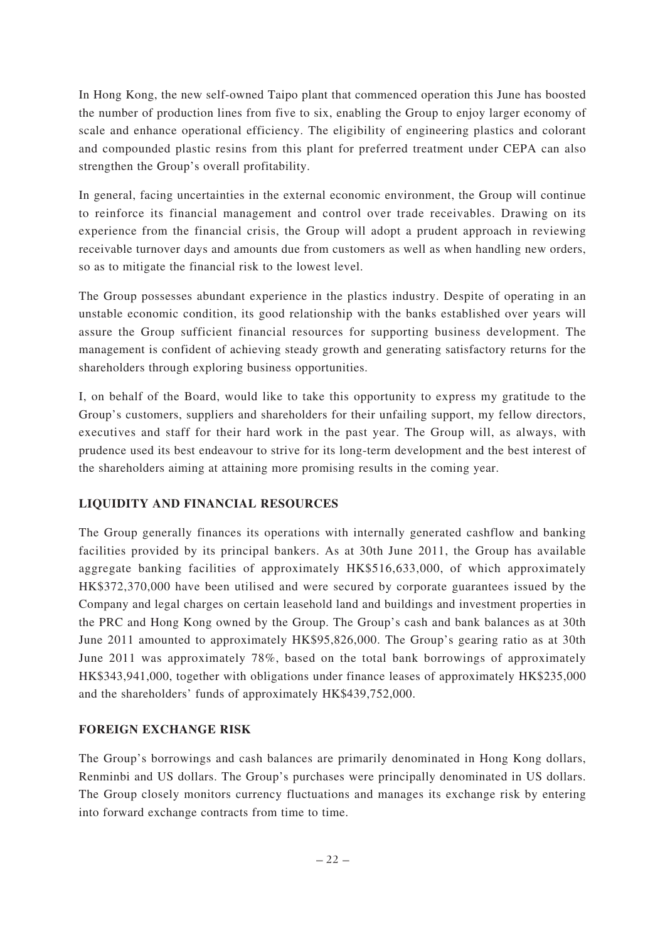In Hong Kong, the new self-owned Taipo plant that commenced operation this June has boosted the number of production lines from five to six, enabling the Group to enjoy larger economy of scale and enhance operational efficiency. The eligibility of engineering plastics and colorant and compounded plastic resins from this plant for preferred treatment under CEPA can also strengthen the Group's overall profitability.

In general, facing uncertainties in the external economic environment, the Group will continue to reinforce its financial management and control over trade receivables. Drawing on its experience from the financial crisis, the Group will adopt a prudent approach in reviewing receivable turnover days and amounts due from customers as well as when handling new orders, so as to mitigate the financial risk to the lowest level.

The Group possesses abundant experience in the plastics industry. Despite of operating in an unstable economic condition, its good relationship with the banks established over years will assure the Group sufficient financial resources for supporting business development. The management is confident of achieving steady growth and generating satisfactory returns for the shareholders through exploring business opportunities.

I, on behalf of the Board, would like to take this opportunity to express my gratitude to the Group's customers, suppliers and shareholders for their unfailing support, my fellow directors, executives and staff for their hard work in the past year. The Group will, as always, with prudence used its best endeavour to strive for its long-term development and the best interest of the shareholders aiming at attaining more promising results in the coming year.

# **LIQUIDITY AND FINANCIAL RESOURCES**

The Group generally finances its operations with internally generated cashflow and banking facilities provided by its principal bankers. As at 30th June 2011, the Group has available aggregate banking facilities of approximately HK\$516,633,000, of which approximately HK\$372,370,000 have been utilised and were secured by corporate guarantees issued by the Company and legal charges on certain leasehold land and buildings and investment properties in the PRC and Hong Kong owned by the Group. The Group's cash and bank balances as at 30th June 2011 amounted to approximately HK\$95,826,000. The Group's gearing ratio as at 30th June 2011 was approximately 78%, based on the total bank borrowings of approximately HK\$343,941,000, together with obligations under finance leases of approximately HK\$235,000 and the shareholders' funds of approximately HK\$439,752,000.

# **FOREIGN EXCHANGE RISK**

The Group's borrowings and cash balances are primarily denominated in Hong Kong dollars, Renminbi and US dollars. The Group's purchases were principally denominated in US dollars. The Group closely monitors currency fluctuations and manages its exchange risk by entering into forward exchange contracts from time to time.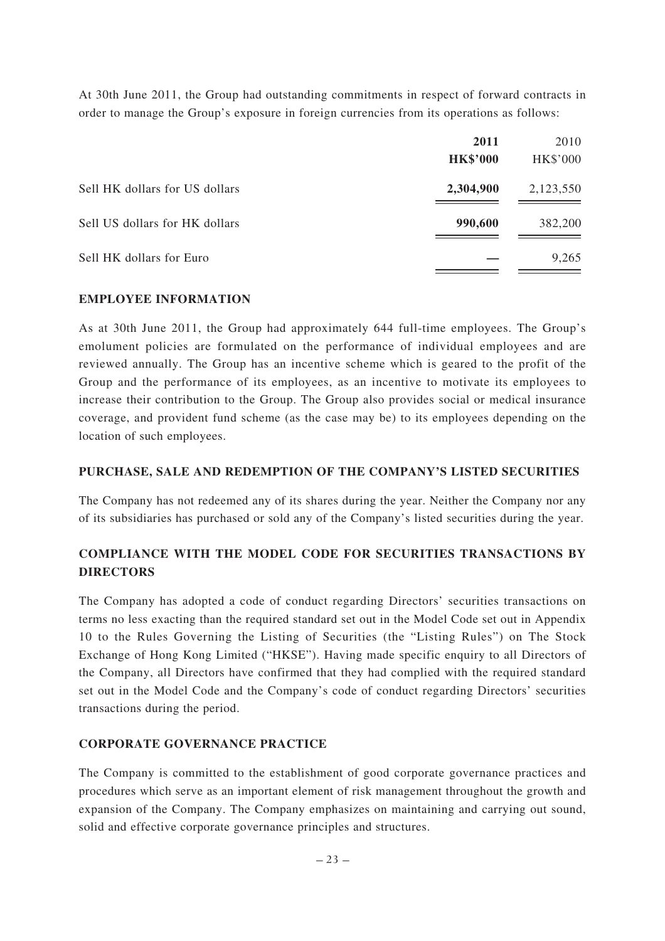At 30th June 2011, the Group had outstanding commitments in respect of forward contracts in order to manage the Group's exposure in foreign currencies from its operations as follows:

|                                | 2011            | 2010      |
|--------------------------------|-----------------|-----------|
|                                | <b>HK\$'000</b> | HK\$'000  |
| Sell HK dollars for US dollars | 2,304,900       | 2,123,550 |
| Sell US dollars for HK dollars | 990,600         | 382,200   |
| Sell HK dollars for Euro       |                 | 9,265     |

## **EMPLOYEE INFORMATION**

As at 30th June 2011, the Group had approximately 644 full-time employees. The Group's emolument policies are formulated on the performance of individual employees and are reviewed annually. The Group has an incentive scheme which is geared to the profit of the Group and the performance of its employees, as an incentive to motivate its employees to increase their contribution to the Group. The Group also provides social or medical insurance coverage, and provident fund scheme (as the case may be) to its employees depending on the location of such employees.

### **PURCHASE, SALE AND REDEMPTION OF THE COMPANY'S LISTED SECURITIES**

The Company has not redeemed any of its shares during the year. Neither the Company nor any of its subsidiaries has purchased or sold any of the Company's listed securities during the year.

# **COMPLIANCE WITH THE MODEL CODE FOR SECURITIES TRANSACTIONS BY DIRECTORS**

The Company has adopted a code of conduct regarding Directors' securities transactions on terms no less exacting than the required standard set out in the Model Code set out in Appendix 10 to the Rules Governing the Listing of Securities (the "Listing Rules") on The Stock Exchange of Hong Kong Limited ("HKSE"). Having made specific enquiry to all Directors of the Company, all Directors have confirmed that they had complied with the required standard set out in the Model Code and the Company's code of conduct regarding Directors' securities transactions during the period.

## **CORPORATE GOVERNANCE PRACTICE**

The Company is committed to the establishment of good corporate governance practices and procedures which serve as an important element of risk management throughout the growth and expansion of the Company. The Company emphasizes on maintaining and carrying out sound, solid and effective corporate governance principles and structures.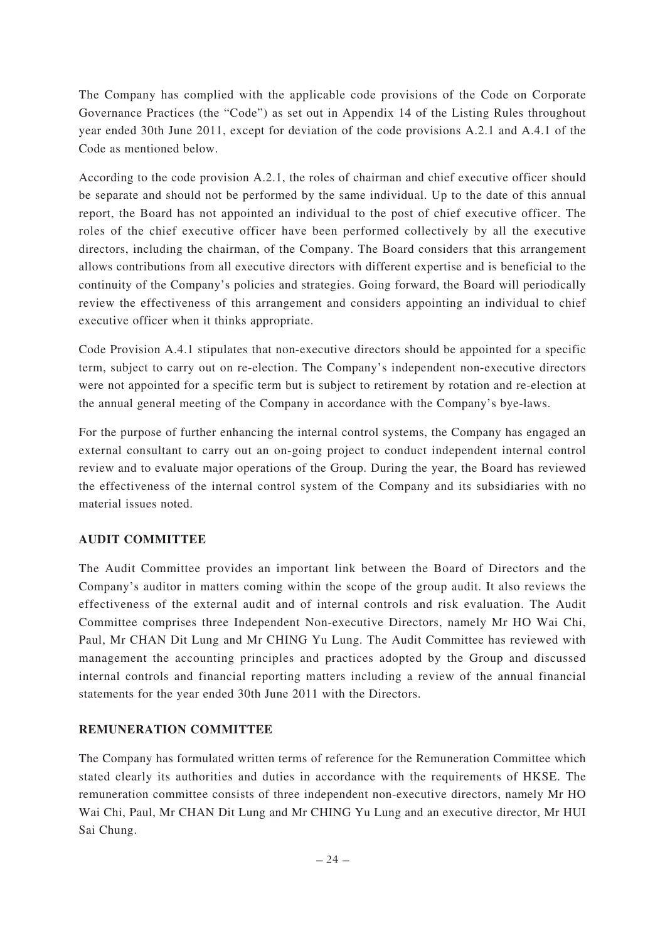The Company has complied with the applicable code provisions of the Code on Corporate Governance Practices (the "Code") as set out in Appendix 14 of the Listing Rules throughout year ended 30th June 2011, except for deviation of the code provisions A.2.1 and A.4.1 of the Code as mentioned below.

According to the code provision A.2.1, the roles of chairman and chief executive officer should be separate and should not be performed by the same individual. Up to the date of this annual report, the Board has not appointed an individual to the post of chief executive officer. The roles of the chief executive officer have been performed collectively by all the executive directors, including the chairman, of the Company. The Board considers that this arrangement allows contributions from all executive directors with different expertise and is beneficial to the continuity of the Company's policies and strategies. Going forward, the Board will periodically review the effectiveness of this arrangement and considers appointing an individual to chief executive officer when it thinks appropriate.

Code Provision A.4.1 stipulates that non-executive directors should be appointed for a specific term, subject to carry out on re-election. The Company's independent non-executive directors were not appointed for a specific term but is subject to retirement by rotation and re-election at the annual general meeting of the Company in accordance with the Company's bye-laws.

For the purpose of further enhancing the internal control systems, the Company has engaged an external consultant to carry out an on-going project to conduct independent internal control review and to evaluate major operations of the Group. During the year, the Board has reviewed the effectiveness of the internal control system of the Company and its subsidiaries with no material issues noted.

# **AUDIT COMMITTEE**

The Audit Committee provides an important link between the Board of Directors and the Company's auditor in matters coming within the scope of the group audit. It also reviews the effectiveness of the external audit and of internal controls and risk evaluation. The Audit Committee comprises three Independent Non-executive Directors, namely Mr HO Wai Chi, Paul, Mr CHAN Dit Lung and Mr CHING Yu Lung. The Audit Committee has reviewed with management the accounting principles and practices adopted by the Group and discussed internal controls and financial reporting matters including a review of the annual financial statements for the year ended 30th June 2011 with the Directors.

# **REMUNERATION COMMITTEE**

The Company has formulated written terms of reference for the Remuneration Committee which stated clearly its authorities and duties in accordance with the requirements of HKSE. The remuneration committee consists of three independent non-executive directors, namely Mr HO Wai Chi, Paul, Mr CHAN Dit Lung and Mr CHING Yu Lung and an executive director, Mr HUI Sai Chung.